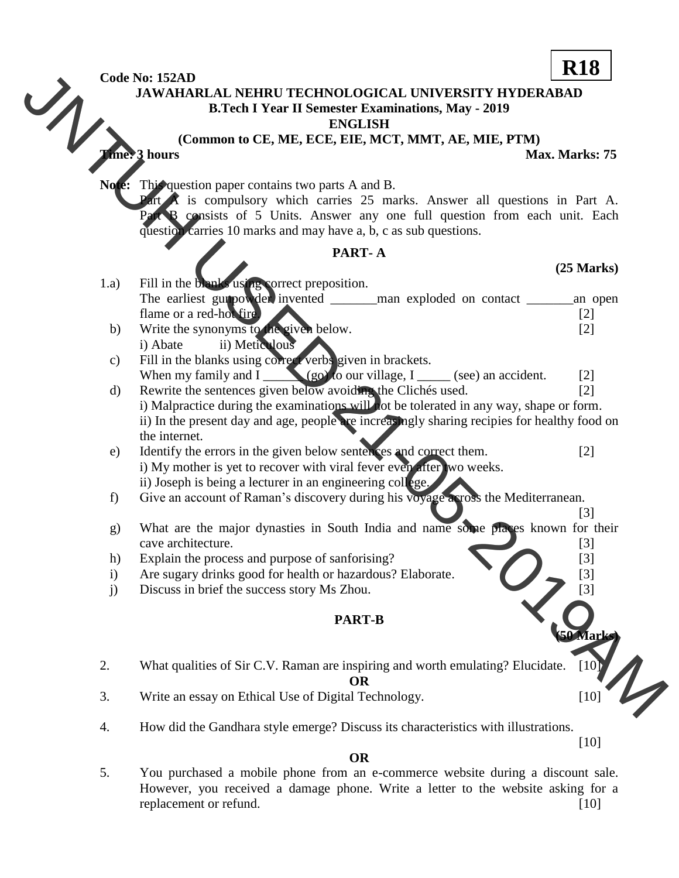**Code No: 152AD**

**JAWAHARLAL NEHRU TECHNOLOGICAL UNIVERSITY HYDERABAD**

**B.Tech I Year II Semester Examinations, May - 2019**

**ENGLISH**

**(Common to CE, ME, ECE, EIE, MCT, MMT, AE, MIE, PTM) Time: 3 hours Max. Marks: 75**

Note: This question paper contains two parts A and B.

 $\bf{A}$  is compulsory which carries 25 marks. Answer all questions in Part A. consists of 5 Units. Answer any one full question from each unit. Each question carries 10 marks and may have a, b, c as sub questions.

## **PART- A**

## **(25 Marks)**

- 1.a) Fill in the blanks using correct preposition. The earliest gunpowder invented \_\_\_\_\_\_man exploded on contact \_\_\_\_\_\_\_\_\_\_\_\_\_\_\_\_\_\_ an open flame or a red-hot fire. [2] b) Write the synonyms to the given below. [2] Code Mix MARIAL SEHRI: TECHNOLOGICAL UNIVERSITY HYDERABAD<br>
B.Tech I Year II Semester Examinations, May - 2019<br>
B.Tech I Year II Semester Examinations, May - 2019<br>
(Common to CE, ME, ECE, ELE, MCT, MNT, AE, MIE, PTM,<br>
(Comm
	- i) Abate ii) Meticulous
	- c) Fill in the blanks using correct verbs given in brackets. When my family and I  $(g_0)$  to our village, I (see) an accident. [2]
	- d) Rewrite the sentences given below avoiding the Clichés used. [2] i) Malpractice during the examinations will not be tolerated in any way, shape or form. ii) In the present day and age, people are increasingly sharing recipies for healthy food on the internet.
	- e) Identify the errors in the given below sentences and correct them. [2] i) My mother is yet to recover with viral fever even after two weeks. ii) Joseph is being a lecturer in an engineering college.
	- f) Give an account of Raman"s discovery during his voyage across the Mediterranean.
	- $\Box$  [3] g) What are the major dynasties in South India and name some places known for their cave architecture. [3]
	- h) Explain the process and purpose of sanforising? [3]
	- i) Are sugary drinks good for health or hazardous? Elaborate. [3]
	- j) Discuss in brief the success story Ms Zhou. [3]

# **PART-B**

2. What qualities of Sir C.V. Raman are inspiring and worth emulating? Elucidate. [10]

**OR**

- 3. Write an essay on Ethical Use of Digital Technology. [10]
- 4. How did the Gandhara style emerge? Discuss its characteristics with illustrations.

[10]

**(50 Marks)**

5. You purchased a mobile phone from an e-commerce website during a discount sale. However, you received a damage phone. Write a letter to the website asking for a replacement or refund. [10] [10]

**OR**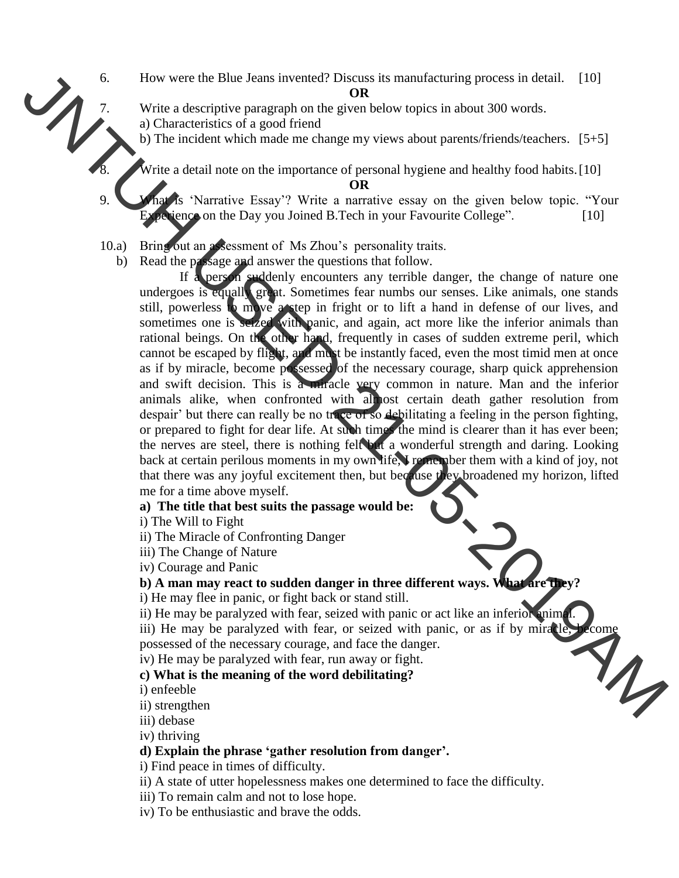- 6. How were the Blue Jeans invented? Discuss its manufacturing process in detail. [10] **OR**
	- Write a descriptive paragraph on the given below topics in about 300 words. a) Characteristics of a good friend
	- b) The incident which made me change my views about parents/friends/teachers. [5+5]

Write a detail note on the importance of personal hygiene and healthy food habits.[10] **OR**

- 1s 'Narrative Essay'? Write a narrative essay on the given below topic. "Your  $perience on the Day you Joined B. Tech in your Favourite College"$ . [10]
- 10.a) Bring out an assessment of Ms Zhou"s personality traits.
	- b) Read the passage and answer the questions that follow.

If a person suddenly encounters any terrible danger, the change of nature one undergoes is equally great. Sometimes fear numbs our senses. Like animals, one stands still, powerless to move a step in fright or to lift a hand in defense of our lives, and sometimes one is seized with panic, and again, act more like the inferior animals than rational beings. On the other hand, frequently in cases of sudden extreme peril, which cannot be escaped by flight, and must be instantly faced, even the most timid men at once as if by miracle, become possessed of the necessary courage, sharp quick apprehension and swift decision. This is a miracle very common in nature. Man and the inferior animals alike, when confronted with almost certain death gather resolution from despair' but there can really be no trace of so debilitating a feeling in the person fighting, or prepared to fight for dear life. At such times the mind is clearer than it has ever been; the nerves are steel, there is nothing felt but a wonderful strength and daring. Looking back at certain perilous moments in my own life, I remember them with a kind of joy, not that there was any joyful excitement then, but because they broadened my horizon, lifted me for a time above myself. 6.<br>
How were the Blue Joans inventor? Dixes is manufacturing process in detail. 1101<br>
21. Characteristics of a good friend<br>
a) Characteristics of a good friend<br>
a) Characteristics of a good friend<br>
31. The incident which

### **a) The title that best suits the passage would be:**

- i) The Will to Fight
- ii) The Miracle of Confronting Danger
- iii) The Change of Nature
- iv) Courage and Panic
- **b) A man may react to sudden danger in three different ways. What are they?**
- i) He may flee in panic, or fight back or stand still.
- ii) He may be paralyzed with fear, seized with panic or act like an inferior animal

iii) He may be paralyzed with fear, or seized with panic, or as if by miracle, become possessed of the necessary courage, and face the danger.<br>iv) He may be paralyzed with fear, run away or fight. possessed of the necessary courage, and face the danger.

iv) He may be paralyzed with fear, run away or fight.

#### **c) What is the meaning of the word debilitating?**

i) enfeeble

- ii) strengthen
- iii) debase

iv) thriving

# **d) Explain the phrase 'gather resolution from danger'.**

i) Find peace in times of difficulty.

- ii) A state of utter hopelessness makes one determined to face the difficulty.
- iii) To remain calm and not to lose hope.
- iv) To be enthusiastic and brave the odds.